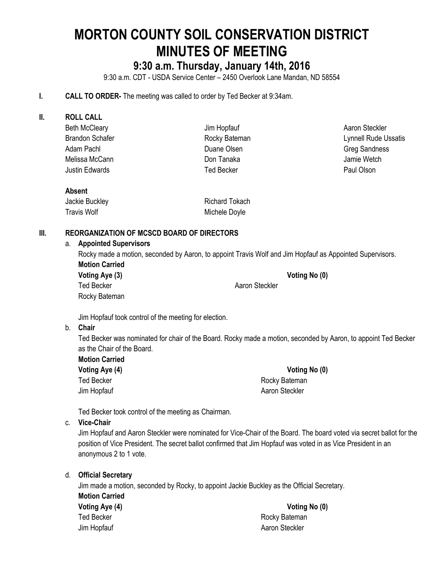# **MORTON COUNTY SOIL CONSERVATION DISTRICT MINUTES OF MEETING**

# **9:30 a.m. Thursday, January 14th, 2016**

9:30 a.m. CDT - USDA Service Center – 2450 Overlook Lane Mandan, ND 58554

#### **I. CALL TO ORDER-** The meeting was called to order by Ted Becker at 9:34am.

| Ш. | <b>ROLL CALL</b>                                                                                         |                       |                             |
|----|----------------------------------------------------------------------------------------------------------|-----------------------|-----------------------------|
|    | <b>Beth McCleary</b>                                                                                     | Jim Hopfauf           | Aaron Steckler              |
|    | <b>Brandon Schafer</b>                                                                                   | Rocky Bateman         | <b>Lynnell Rude Ussatis</b> |
|    | Adam Pachl                                                                                               | Duane Olsen           | <b>Greg Sandness</b>        |
|    | Melissa McCann                                                                                           | Don Tanaka            | Jamie Wetch                 |
|    | <b>Justin Edwards</b>                                                                                    | <b>Ted Becker</b>     | Paul Olson                  |
|    | <b>Absent</b>                                                                                            |                       |                             |
|    | Jackie Buckley                                                                                           | <b>Richard Tokach</b> |                             |
|    | Travis Wolf                                                                                              | Michele Doyle         |                             |
| Ⅲ. | <b>REORGANIZATION OF MCSCD BOARD OF DIRECTORS</b>                                                        |                       |                             |
|    | <b>Appointed Supervisors</b><br>a.                                                                       |                       |                             |
|    | Rocky made a motion, seconded by Aaron, to appoint Travis Wolf and Jim Hopfauf as Appointed Supervisors. |                       |                             |
|    | <b>Motion Carried</b>                                                                                    |                       |                             |
|    | Voting Aye (3)                                                                                           |                       | Voting No (0)               |
|    | Ted Becker                                                                                               | Aaron Steckler        |                             |

Jim Hopfauf took control of the meeting for election.

#### b. **Chair**

Ted Becker was nominated for chair of the Board. Rocky made a motion, seconded by Aaron, to appoint Ted Becker as the Chair of the Board.

| <b>Motion Carried</b> |  |
|-----------------------|--|
| Voting Aye (4)        |  |
| Ted Becker            |  |
| Jim Hopfauf           |  |

Rocky Bateman

**Voting Aye (4) Voting No (0)** Rocky Bateman Aaron Steckler

Ted Becker took control of the meeting as Chairman.

#### c. **Vice-Chair**

Jim Hopfauf and Aaron Steckler were nominated for Vice-Chair of the Board. The board voted via secret ballot for the position of Vice President. The secret ballot confirmed that Jim Hopfauf was voted in as Vice President in an anonymous 2 to 1 vote.

| d. | <b>Official Secretary</b>                                                                                           |                |
|----|---------------------------------------------------------------------------------------------------------------------|----------------|
|    | Jim made a motion, seconded by Rocky, to appoint Jackie Buckley as the Official Secretary.<br><b>Motion Carried</b> |                |
|    |                                                                                                                     |                |
|    | Ted Becker                                                                                                          | Rocky Bateman  |
|    | Jim Hopfauf                                                                                                         | Aaron Steckler |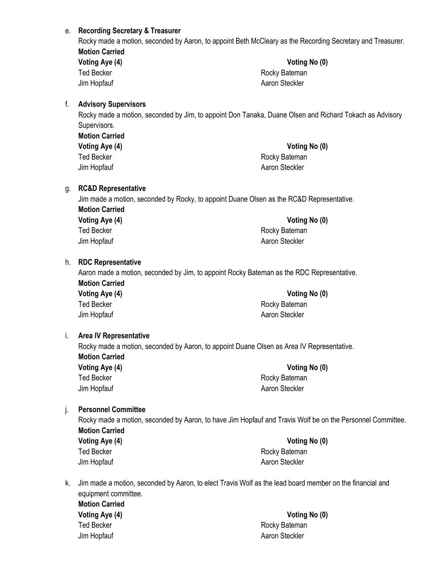#### e. **Recording Secretary & Treasurer**

Rocky made a motion, seconded by Aaron, to appoint Beth McCleary as the Recording Secretary and Treasurer. **Motion Carried Voting Aye (4) Voting No (0)**

| Voting Aye (4) |  |
|----------------|--|
| Ted Becker     |  |
| Jim Hopfauf    |  |

Rocky Bateman Aaron Steckler

#### f. **Advisory Supervisors**

Rocky made a motion, seconded by Jim, to appoint Don Tanaka, Duane Olsen and Richard Tokach as Advisory Supervisors.

| <b>Motion Carried</b> |
|-----------------------|
| Voting Aye (4)        |
| Ted Becker            |
| Jim Hopfauf           |

#### **Voting Aye (4) Voting No (0)**

Rocky Bateman Aaron Steckler

#### g. **RC&D Representative**

Jim made a motion, seconded by Rocky, to appoint Duane Olsen as the RC&D Representative. **Motion Carried Voting Aye (4) Voting No (0)**

Ted Becker **Rocky Bateman** Jim Hopfauf **Aaron Steckler** Aaron Steckler

#### h. **RDC Representative**

Aaron made a motion, seconded by Jim, to appoint Rocky Bateman as the RDC Representative. **Motion Carried**

| Voting Aye (4) | Voting No (0)  |
|----------------|----------------|
| Ted Becker     | Rocky Bateman  |
| Jim Hopfauf    | Aaron Steckler |

#### i. **Area IV Representative**

Rocky made a motion, seconded by Aaron, to appoint Duane Olsen as Area IV Representative. **Motion Carried**

**Voting Aye (4) Voting No (0)** Ted Becker **Rocky** Bateman Jim Hopfauf **Aaron Steckler** Aaron Steckler

#### j. **Personnel Committee**

Rocky made a motion, seconded by Aaron, to have Jim Hopfauf and Travis Wolf be on the Personnel Committee. **Motion Carried Voting Aye (4) Voting No (0)**

Ted Becker **Rocky** Bateman Jim Hopfauf **Aaron Steckler** Aaron Steckler

k. Jim made a motion, seconded by Aaron, to elect Travis Wolf as the lead board member on the financial and equipment committee.

**Motion Carried** Ted Becker **Rocky Bateman** 

**Voting Aye (4) Voting No (0)** Jim Hopfauf **Aaron Steckler** Aaron Steckler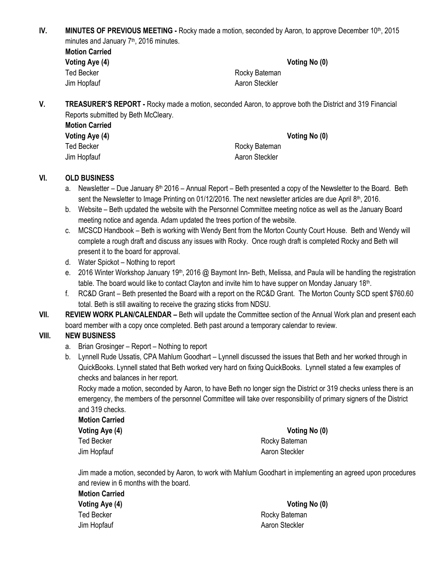**IV. MINUTES OF PREVIOUS MEETING -** Rocky made a motion, seconded by Aaron, to approve December 10<sup>th</sup>, 2015 minutes and January 7<sup>th</sup>, 2016 minutes.

| <b>Motion Carried</b> |  |
|-----------------------|--|
| Voting Aye (4)        |  |
| Ted Becker            |  |
| Jim Hopfauf           |  |

Rocky Bateman Aaron Steckler

**Voting No (0)** 

**V. TREASURER'S REPORT -** Rocky made a motion, seconded Aaron, to approve both the District and 319 Financial Reports submitted by Beth McCleary.

| <b>Motion Carried</b> |                |               |
|-----------------------|----------------|---------------|
| Voting Aye (4)        |                | Voting No (0) |
| Ted Becker            | Rocky Bateman  |               |
| Jim Hopfauf           | Aaron Steckler |               |
|                       |                |               |

### **VI. OLD BUSINESS**

- a. Newsletter Due January  $8<sup>th</sup>$  2016 Annual Report Beth presented a copy of the Newsletter to the Board. Beth sent the Newsletter to Image Printing on 01/12/2016. The next newsletter articles are due April  $8<sup>th</sup>$ , 2016.
- b. Website Beth updated the website with the Personnel Committee meeting notice as well as the January Board meeting notice and agenda. Adam updated the trees portion of the website.
- c. MCSCD Handbook Beth is working with Wendy Bent from the Morton County Court House. Beth and Wendy will complete a rough draft and discuss any issues with Rocky. Once rough draft is completed Rocky and Beth will present it to the board for approval.
- d. Water Spickot Nothing to report
- e. 2016 Winter Workshop January 19<sup>th</sup>, 2016 @ Baymont Inn- Beth, Melissa, and Paula will be handling the registration table. The board would like to contact Clayton and invite him to have supper on Monday January 18<sup>th</sup>.
- f. RC&D Grant Beth presented the Board with a report on the RC&D Grant. The Morton County SCD spent \$760.60 total. Beth is still awaiting to receive the grazing sticks from NDSU.
- **VII. REVIEW WORK PLAN/CALENDAR –** Beth will update the Committee section of the Annual Work plan and present each board member with a copy once completed. Beth past around a temporary calendar to review.

# **VIII. NEW BUSINESS**

- a. Brian Grosinger Report Nothing to report
- b. Lynnell Rude Ussatis, CPA Mahlum Goodhart Lynnell discussed the issues that Beth and her worked through in QuickBooks. Lynnell stated that Beth worked very hard on fixing QuickBooks. Lynnell stated a few examples of checks and balances in her report.

Rocky made a motion, seconded by Aaron, to have Beth no longer sign the District or 319 checks unless there is an emergency, the members of the personnel Committee will take over responsibility of primary signers of the District and 319 checks.

**Motion Carried Voting Aye (4) Voting No (0)** Ted Becker **Rocky** Bateman Jim Hopfauf **Aaron Steckler** Aaron Steckler

Jim made a motion, seconded by Aaron, to work with Mahlum Goodhart in implementing an agreed upon procedures and review in 6 months with the board.

| Voting No (0)  |  |
|----------------|--|
| Rocky Bateman  |  |
| Aaron Steckler |  |
|                |  |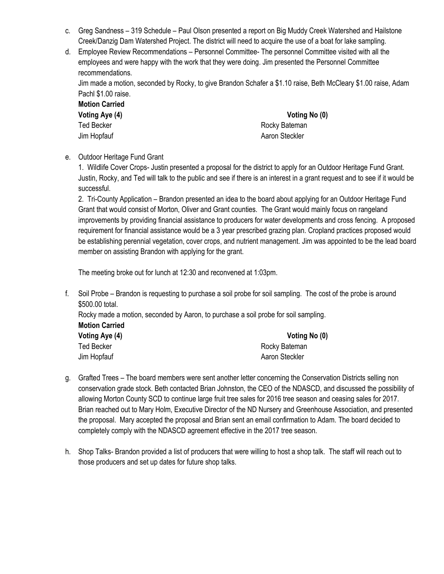- c. Greg Sandness 319 Schedule Paul Olson presented a report on Big Muddy Creek Watershed and Hailstone Creek/Danzig Dam Watershed Project. The district will need to acquire the use of a boat for lake sampling.
- d. Employee Review Recommendations Personnel Committee- The personnel Committee visited with all the employees and were happy with the work that they were doing. Jim presented the Personnel Committee recommendations.

Jim made a motion, seconded by Rocky, to give Brandon Schafer a \$1.10 raise, Beth McCleary \$1.00 raise, Adam Pachl \$1.00 raise.

| Motion Carried |  |
|----------------|--|
| Voting Aye (4) |  |
| Ted Becker     |  |
| lim Honfouf    |  |

**Voting Aye (4) Voting No (0)** Rocky Bateman Jim Hopfauf **Aaron Steckler** Aaron Steckler

e. Outdoor Heritage Fund Grant

1. Wildlife Cover Crops- Justin presented a proposal for the district to apply for an Outdoor Heritage Fund Grant. Justin, Rocky, and Ted will talk to the public and see if there is an interest in a grant request and to see if it would be successful.

2. Tri-County Application – Brandon presented an idea to the board about applying for an Outdoor Heritage Fund Grant that would consist of Morton, Oliver and Grant counties. The Grant would mainly focus on rangeland improvements by providing financial assistance to producers for water developments and cross fencing. A proposed requirement for financial assistance would be a 3 year prescribed grazing plan. Cropland practices proposed would be establishing perennial vegetation, cover crops, and nutrient management. Jim was appointed to be the lead board member on assisting Brandon with applying for the grant.

The meeting broke out for lunch at 12:30 and reconvened at 1:03pm.

f. Soil Probe – Brandon is requesting to purchase a soil probe for soil sampling. The cost of the probe is around \$500.00 total.

Rocky made a motion, seconded by Aaron, to purchase a soil probe for soil sampling. **Motion Carried**

| Voting Aye (4) | Voting No (0)  |  |
|----------------|----------------|--|
| Ted Becker     | Rocky Bateman  |  |
| Jim Hopfauf    | Aaron Steckler |  |

- g. Grafted Trees The board members were sent another letter concerning the Conservation Districts selling non conservation grade stock. Beth contacted Brian Johnston, the CEO of the NDASCD, and discussed the possibility of allowing Morton County SCD to continue large fruit tree sales for 2016 tree season and ceasing sales for 2017. Brian reached out to Mary Holm, Executive Director of the ND Nursery and Greenhouse Association, and presented the proposal. Mary accepted the proposal and Brian sent an email confirmation to Adam. The board decided to completely comply with the NDASCD agreement effective in the 2017 tree season.
- h. Shop Talks- Brandon provided a list of producers that were willing to host a shop talk. The staff will reach out to those producers and set up dates for future shop talks.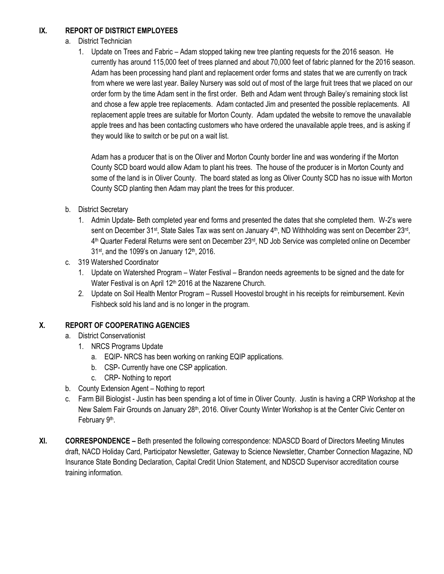# **IX. REPORT OF DISTRICT EMPLOYEES**

- a. District Technician
	- 1. Update on Trees and Fabric Adam stopped taking new tree planting requests for the 2016 season. He currently has around 115,000 feet of trees planned and about 70,000 feet of fabric planned for the 2016 season. Adam has been processing hand plant and replacement order forms and states that we are currently on track from where we were last year. Bailey Nursery was sold out of most of the large fruit trees that we placed on our order form by the time Adam sent in the first order. Beth and Adam went through Bailey's remaining stock list and chose a few apple tree replacements. Adam contacted Jim and presented the possible replacements. All replacement apple trees are suitable for Morton County. Adam updated the website to remove the unavailable apple trees and has been contacting customers who have ordered the unavailable apple trees, and is asking if they would like to switch or be put on a wait list.

Adam has a producer that is on the Oliver and Morton County border line and was wondering if the Morton County SCD board would allow Adam to plant his trees. The house of the producer is in Morton County and some of the land is in Oliver County. The board stated as long as Oliver County SCD has no issue with Morton County SCD planting then Adam may plant the trees for this producer.

- b. District Secretary
	- 1. Admin Update- Beth completed year end forms and presented the dates that she completed them. W-2's were sent on December 31<sup>st</sup>, State Sales Tax was sent on January 4<sup>th</sup>, ND Withholding was sent on December 23<sup>rd</sup>, 4<sup>th</sup> Quarter Federal Returns were sent on December 23<sup>rd</sup>, ND Job Service was completed online on December  $31$ <sup>st</sup>, and the 1099's on January 12<sup>th</sup>, 2016.
- c. 319 Watershed Coordinator
	- 1. Update on Watershed Program Water Festival Brandon needs agreements to be signed and the date for Water Festival is on April 12<sup>th</sup> 2016 at the Nazarene Church.
	- 2. Update on Soil Health Mentor Program Russell Hoovestol brought in his receipts for reimbursement. Kevin Fishbeck sold his land and is no longer in the program.

# **X. REPORT OF COOPERATING AGENCIES**

- a. District Conservationist
	- 1. NRCS Programs Update
		- a. EQIP- NRCS has been working on ranking EQIP applications.
		- b. CSP- Currently have one CSP application.
		- c. CRP- Nothing to report
- b. County Extension Agent Nothing to report
- c. Farm Bill Biologist Justin has been spending a lot of time in Oliver County. Justin is having a CRP Workshop at the New Salem Fair Grounds on January 28<sup>th</sup>, 2016. Oliver County Winter Workshop is at the Center Civic Center on February 9<sup>th</sup>.
- **XI. CORRESPONDENCE –** Beth presented the following correspondence: NDASCD Board of Directors Meeting Minutes draft, NACD Holiday Card, Participator Newsletter, Gateway to Science Newsletter, Chamber Connection Magazine, ND Insurance State Bonding Declaration, Capital Credit Union Statement, and NDSCD Supervisor accreditation course training information.